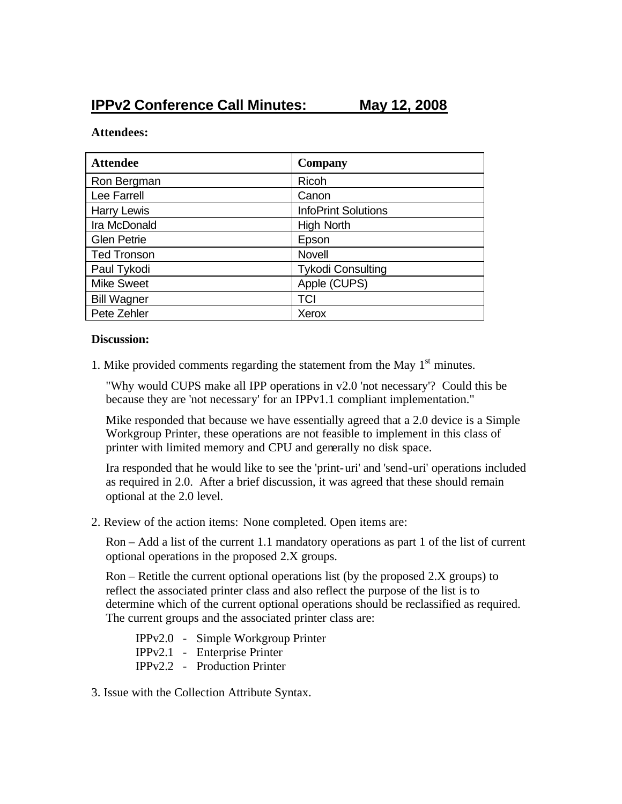## **IPPv2 Conference Call Minutes: May 12, 2008**

## **Attendees:**

| <b>Attendee</b>    | <b>Company</b>             |
|--------------------|----------------------------|
| Ron Bergman        | Ricoh                      |
| Lee Farrell        | Canon                      |
| <b>Harry Lewis</b> | <b>InfoPrint Solutions</b> |
| Ira McDonald       | <b>High North</b>          |
| <b>Glen Petrie</b> | Epson                      |
| <b>Ted Tronson</b> | <b>Novell</b>              |
| Paul Tykodi        | <b>Tykodi Consulting</b>   |
| <b>Mike Sweet</b>  | Apple (CUPS)               |
| <b>Bill Wagner</b> | TCI                        |
| Pete Zehler        | Xerox                      |

## **Discussion:**

1. Mike provided comments regarding the statement from the May  $1<sup>st</sup>$  minutes.

"Why would CUPS make all IPP operations in v2.0 'not necessary'? Could this be because they are 'not necessary' for an IPPv1.1 compliant implementation."

Mike responded that because we have essentially agreed that a 2.0 device is a Simple Workgroup Printer, these operations are not feasible to implement in this class of printer with limited memory and CPU and generally no disk space.

Ira responded that he would like to see the 'print-uri' and 'send-uri' operations included as required in 2.0. After a brief discussion, it was agreed that these should remain optional at the 2.0 level.

2. Review of the action items: None completed. Open items are:

Ron – Add a list of the current 1.1 mandatory operations as part 1 of the list of current optional operations in the proposed 2.X groups.

Ron – Retitle the current optional operations list (by the proposed 2.X groups) to reflect the associated printer class and also reflect the purpose of the list is to determine which of the current optional operations should be reclassified as required. The current groups and the associated printer class are:

IPPv2.0 - Simple Workgroup Printer IPPv2.1 - Enterprise Printer IPPv2.2 - Production Printer

3. Issue with the Collection Attribute Syntax.